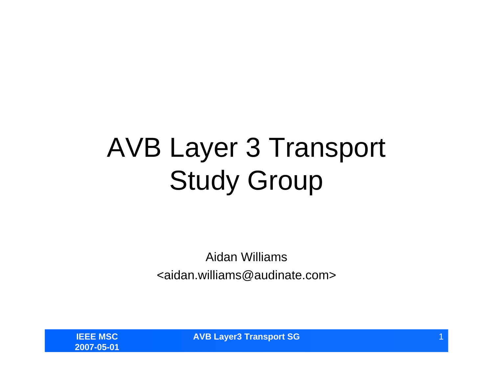## AVB Layer 3 Transport Study Group

Aidan Williams<aidan.williams@audinate.com>

**IEEE MSC2007-05-01** **AVB Layer3 Transport SG**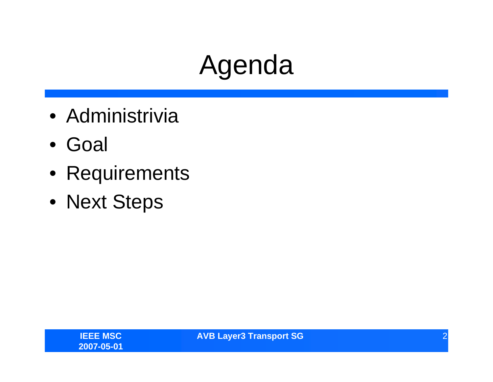## Agenda

- Administrivia
- Goal
- Requirements
- Next Steps

**AVB Layer3 Transport SG** 22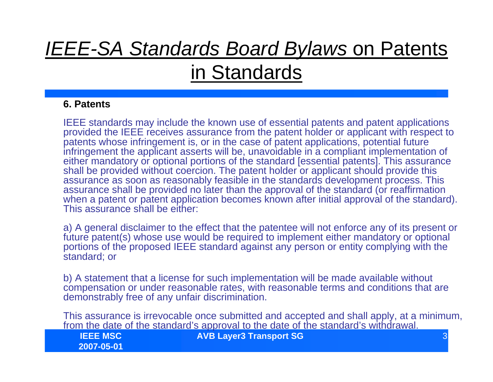### *IEEE-SA Standards Board Bylaws* on Patents in Standards

#### **6. Patents**

IEEE standards may include the known use of essential patents and patent applications provided the IEEE receives assurance from the patent holder or applicant with respect to patents whose infringement is, or in the case of patent applications, potential future infringement the applicant asserts will be, unavoidable in a compliant implementation of either mandatory or optional portions of the standard [essential patents]. This assurance shall be provided without coercion. The patent holder or applicant should provide this assurance as soon as reasonably feasible in the standards development process. This assurance shall be provided no later than the approval of the standard (or reaffirmation when a patent or patent application becomes known after initial approval of the standard). This assurance shall be either:

a) A general disclaimer to the effect that the patentee will not enforce any of its present or future patent(s) whose use would be required to implement either mandatory or optional portions of the proposed IEEE standard against any person or entity complying with the standard; or

b) A statement that a license for such implementation will be made available without compensation or under reasonable rates, with reasonable terms and conditions that are demonstrably free of any unfair discrimination.

This assurance is irrevocable once submitted and accepted and shall apply, at a minimum, from the date of the standard's approval to the date of the standard's withdrawal.

| <b>IEEE MSC</b> | <b>AVB Layer3 Transport SG</b> |  |
|-----------------|--------------------------------|--|
| 2007-05-01      |                                |  |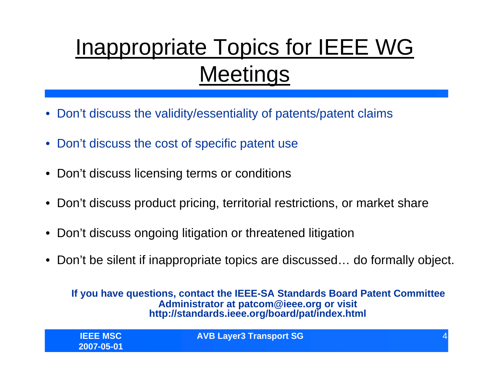## Inappropriate Topics for IEEE WG **Meetings**

- •Don't discuss the validity/essentiality of patents/patent claims
- Don't discuss the cost of specific patent use
- Don't discuss licensing terms or conditions
- Don't discuss product pricing, territorial restrictions, or market share
- Don't discuss ongoing litigation or threatened litigation
- Don't be silent if inappropriate topics are discussed… do formally object.

**If you have questions, contact the IEEE-SA Standards Board Patent Committee Administrator at patcom@ieee.org or visit http://standards.ieee.org/board/pat/index.html** 

| <b>IEEE MSC</b><br>2007-05-01 | <b>AVB Layer3 Transport SG</b> |  |
|-------------------------------|--------------------------------|--|
|                               |                                |  |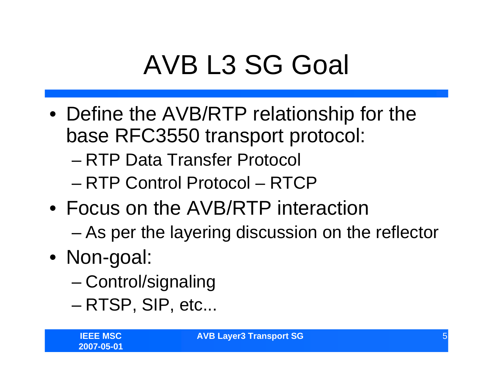# AVB L3 SG Goal

- Define the AVB/RTP relationship for the base RFC3550 transport protocol:
	- RTP Data Transfer Protocol
	- RTP Control Protocol RTCP
- Focus on the AVB/RTP interaction
	- As per the layering discussion on the reflector
- Non-goal:
	- –Control/signaling
	- –RTSP, SIP, etc...

**AVB Layer3 Transport SG** 5 **5**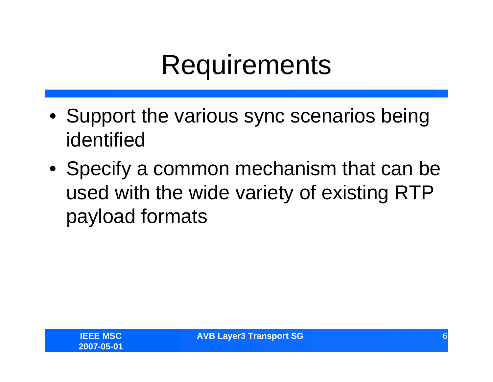## **Requirements**

- Support the various sync scenarios being identified
- Specify a common mechanism that can be used with the wide variety of existing RTP payload formats